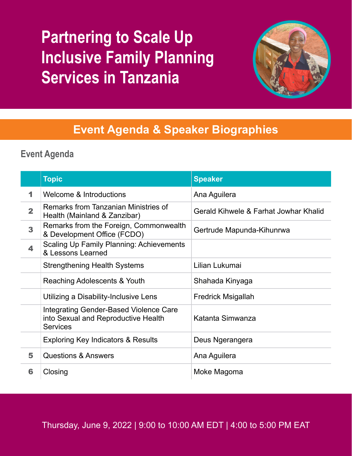# **Partnering to Scale Up Inclusive Family Planning Services in Tanzania**



# **Event Agenda & Speaker Biographies**

# **Event Agenda**

|                         | <b>Topic</b>                                                                                            | <b>Speaker</b>                        |
|-------------------------|---------------------------------------------------------------------------------------------------------|---------------------------------------|
| 1                       | Welcome & Introductions                                                                                 | Ana Aguilera                          |
| $\overline{\mathbf{2}}$ | Remarks from Tanzanian Ministries of<br>Health (Mainland & Zanzibar)                                    | Gerald Kihwele & Farhat Jowhar Khalid |
| 3                       | Remarks from the Foreign, Commonwealth<br>& Development Office (FCDO)                                   | Gertrude Mapunda-Kihunrwa             |
| 4                       | <b>Scaling Up Family Planning: Achievements</b><br>& Lessons Learned                                    |                                       |
|                         | <b>Strengthening Health Systems</b>                                                                     | Lilian Lukumai                        |
|                         | Reaching Adolescents & Youth                                                                            | Shahada Kinyaga                       |
|                         | Utilizing a Disability-Inclusive Lens                                                                   | <b>Fredrick Msigallah</b>             |
|                         | <b>Integrating Gender-Based Violence Care</b><br>into Sexual and Reproductive Health<br><b>Services</b> | Katanta Simwanza                      |
|                         | <b>Exploring Key Indicators &amp; Results</b>                                                           | Deus Ngerangera                       |
| 5                       | <b>Questions &amp; Answers</b>                                                                          | Ana Aguilera                          |
| 6                       | Closing                                                                                                 | Moke Magoma                           |

Thursday, June 9, 2022 | 9:00 to 10:00 AM EDT | 4:00 to 5:00 PM EAT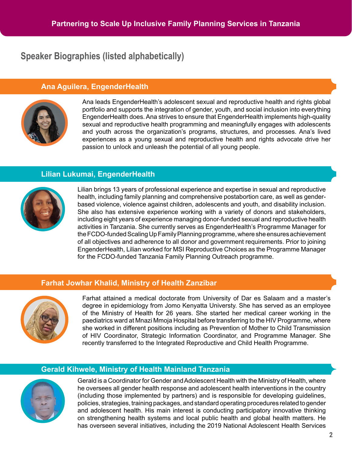## **Speaker Biographies (listed alphabetically)**

#### **Ana Aguilera, EngenderHealth**



Ana leads EngenderHealth's adolescent sexual and reproductive health and rights global portfolio and supports the integration of gender, youth, and social inclusion into everything EngenderHealth does. Ana strives to ensure that EngenderHealth implements high-quality sexual and reproductive health programming and meaningfully engages with adolescents and youth across the organization's programs, structures, and processes. Ana's lived experiences as a young sexual and reproductive health and rights advocate drive her passion to unlock and unleash the potential of all young people.

#### **Lilian Lukumai, EngenderHealth**



Lilian brings 13 years of professional experience and expertise in sexual and reproductive health, including family planning and comprehensive postabortion care, as well as genderbased violence, violence against children, adolescents and youth, and disability inclusion. She also has extensive experience working with a variety of donors and stakeholders, including eight years of experience managing donor-funded sexual and reproductive health activities in Tanzania. She currently serves as EngenderHealth's Programme Manager for the FCDO-funded Scaling Up Family Planning programme, where she ensures achievement of all objectives and adherence to all donor and government requirements. Prior to joining EngenderHealth, Lilian worked for MSI Reproductive Choices as the Programme Manager for the FCDO-funded Tanzania Family Planning Outreach programme.

#### **Farhat Jowhar Khalid, Ministry of Health Zanzibar**



Farhat attained a medical doctorate from University of Dar es Salaam and a master's degree in epidemiology from Jomo Kenyatta Universty. She has served as an employee of the Ministry of Health for 26 years. She started her medical career working in the paediatrics ward at Mnazi Mmoja Hospital before transferring to the HIV Programme, where she worked in different positions including as Prevention of Mother to Child Transmission of HIV Coordinator, Strategic Information Coordinator, and Programme Manager. She recently transferred to the Integrated Reproductive and Child Health Programme.

### **Gerald Kihwele, Ministry of Health Mainland Tanzania**



Gerald is a Coordinator for Gender and Adolescent Health with the Ministry of Health, where he oversees all gender health response and adolescent health interventions in the country (including those implemented by partners) and is responsible for developing guidelines, policies, strategies, training packages, and standard operating procedures related to gender and adolescent health. His main interest is conducting participatory innovative thinking on strengthening health systems and local public health and global health matters. He has overseen several initiatives, including the 2019 National Adolescent Health Services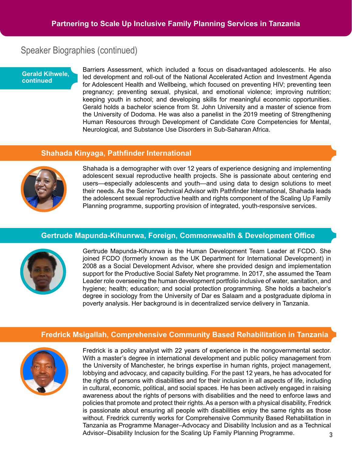# Speaker Biographies (continued)

#### **Gerald Kihwele, continued**

Barriers Assessment, which included a focus on disadvantaged adolescents. He also led development and roll-out of the National Accelerated Action and Investment Agenda for Adolescent Health and Wellbeing, which focused on preventing HIV; preventing teen pregnancy; preventing sexual, physical, and emotional violence; improving nutrition; keeping youth in school; and developing skills for meaningful economic opportunities. Gerald holds a bachelor science from St. John University and a master of science from the University of Dodoma. He was also a panelist in the 2019 meeting of Strengthening Human Resources through Development of Candidate Core Competencies for Mental, Neurological, and Substance Use Disorders in Sub-Saharan Africa.

#### **Shahada Kinyaga, Pathfinder International**



Shahada is a demographer with over 12 years of experience designing and implementing adolescent sexual reproductive health projects. She is passionate about centering end users—especially adolescents and youth—and using data to design solutions to meet their needs. As the Senior Technical Advisor with Pathfinder International, Shahada leads the adolescent sexual reproductive health and rights component of the Scaling Up Family Planning programme, supporting provision of integrated, youth-responsive services.

#### **Gertrude Mapunda-Kihunrwa, Foreign, Commonwealth & Development Office**



Gertrude Mapunda-Kihunrwa is the Human Development Team Leader at FCDO. She joined FCDO (formerly known as the UK Department for International Development) in 2008 as a Social Development Advisor, where she provided design and implementation support for the Productive Social Safety Net programme. In 2017, she assumed the Team Leader role overseeing the human development portfolio inclusive of water, sanitation, and hygiene; health; education; and social protection programming. She holds a bachelor's degree in sociology from the University of Dar es Salaam and a postgraduate diploma in poverty analysis. Her background is in decentralized service delivery in Tanzania.

#### **Fredrick Msigallah, Comprehensive Community Based Rehabilitation in Tanzania**



**3** Fredrick is a policy analyst with 22 years of experience in the nongovernmental sector. With a master's degree in international development and public policy management from the University of Manchester, he brings expertise in human rights, project management, lobbying and advocacy, and capacity building. For the past 12 years, he has advocated for the rights of persons with disabilities and for their inclusion in all aspects of life, including in cultural, economic, political, and social spaces. He has been actively engaged in raising awareness about the rights of persons with disabilities and the need to enforce laws and policies that promote and protect their rights. As a person with a physical disability, Fredrick is passionate about ensuring all people with disabilities enjoy the same rights as those without. Fredrick currently works for Comprehensive Community Based Rehabilitation in Tanzania as Programme Manager–Advocacy and Disability Inclusion and as a Technical Advisor–Disability Inclusion for the Scaling Up Family Planning Programme.